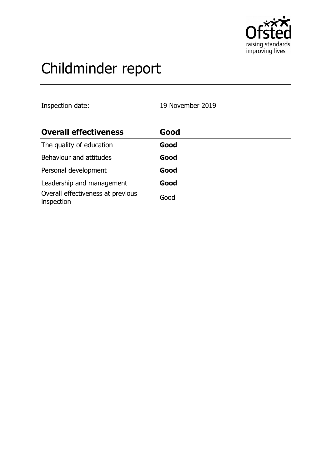

# Childminder report

Inspection date: 19 November 2019

| <b>Overall effectiveness</b>                    | Good |
|-------------------------------------------------|------|
| The quality of education                        | Good |
| Behaviour and attitudes                         | Good |
| Personal development                            | Good |
| Leadership and management                       | Good |
| Overall effectiveness at previous<br>inspection | Good |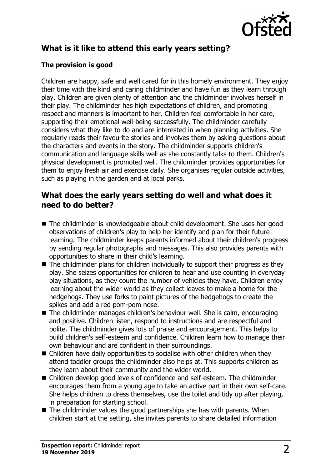

## **What is it like to attend this early years setting?**

### **The provision is good**

Children are happy, safe and well cared for in this homely environment. They enjoy their time with the kind and caring childminder and have fun as they learn through play. Children are given plenty of attention and the childminder involves herself in their play. The childminder has high expectations of children, and promoting respect and manners is important to her. Children feel comfortable in her care, supporting their emotional well-being successfully. The childminder carefully considers what they like to do and are interested in when planning activities. She regularly reads their favourite stories and involves them by asking questions about the characters and events in the story. The childminder supports children's communication and language skills well as she constantly talks to them. Children's physical development is promoted well. The childminder provides opportunities for them to enjoy fresh air and exercise daily. She organises regular outside activities, such as playing in the garden and at local parks.

## **What does the early years setting do well and what does it need to do better?**

- The childminder is knowledgeable about child development. She uses her good observations of children's play to help her identify and plan for their future learning. The childminder keeps parents informed about their children's progress by sending regular photographs and messages. This also provides parents with opportunities to share in their child's learning.
- $\blacksquare$  The childminder plans for children individually to support their progress as they play. She seizes opportunities for children to hear and use counting in everyday play situations, as they count the number of vehicles they have. Children enjoy learning about the wider world as they collect leaves to make a home for the hedgehogs. They use forks to paint pictures of the hedgehogs to create the spikes and add a red pom-pom nose.
- $\blacksquare$  The childminder manages children's behaviour well. She is calm, encouraging and positive. Children listen, respond to instructions and are respectful and polite. The childminder gives lots of praise and encouragement. This helps to build children's self-esteem and confidence. Children learn how to manage their own behaviour and are confident in their surroundings.
- $\blacksquare$  Children have daily opportunities to socialise with other children when they attend toddler groups the childminder also helps at. This supports children as they learn about their community and the wider world.
- Children develop good levels of confidence and self-esteem. The childminder encourages them from a young age to take an active part in their own self-care. She helps children to dress themselves, use the toilet and tidy up after playing, in preparation for starting school.
- $\blacksquare$  The childminder values the good partnerships she has with parents. When children start at the setting, she invites parents to share detailed information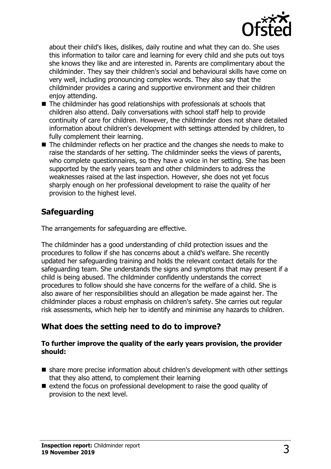

about their child's likes, dislikes, daily routine and what they can do. She uses this information to tailor care and learning for every child and she puts out toys she knows they like and are interested in. Parents are complimentary about the childminder. They say their children's social and behavioural skills have come on very well, including pronouncing complex words. They also say that the childminder provides a caring and supportive environment and their children enjov attending.

- $\blacksquare$  The childminder has good relationships with professionals at schools that children also attend. Daily conversations with school staff help to provide continuity of care for children. However, the childminder does not share detailed information about children's development with settings attended by children, to fully complement their learning.
- $\blacksquare$  The childminder reflects on her practice and the changes she needs to make to raise the standards of her setting. The childminder seeks the views of parents, who complete questionnaires, so they have a voice in her setting. She has been supported by the early years team and other childminders to address the weaknesses raised at the last inspection. However, she does not yet focus sharply enough on her professional development to raise the quality of her provision to the highest level.

## **Safeguarding**

The arrangements for safeguarding are effective.

The childminder has a good understanding of child protection issues and the procedures to follow if she has concerns about a child's welfare. She recently updated her safeguarding training and holds the relevant contact details for the safeguarding team. She understands the signs and symptoms that may present if a child is being abused. The childminder confidently understands the correct procedures to follow should she have concerns for the welfare of a child. She is also aware of her responsibilities should an allegation be made against her. The childminder places a robust emphasis on children's safety. She carries out regular risk assessments, which help her to identify and minimise any hazards to children.

## **What does the setting need to do to improve?**

#### **To further improve the quality of the early years provision, the provider should:**

- share more precise information about children's development with other settings that they also attend, to complement their learning
- extend the focus on professional development to raise the good quality of provision to the next level.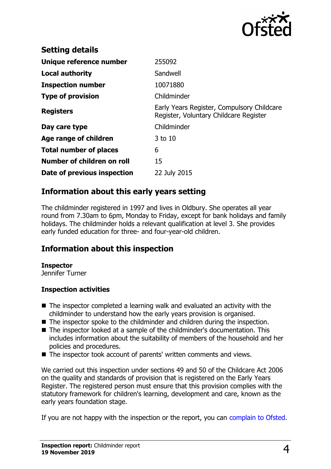

| <b>Setting details</b>        |                                                                                      |
|-------------------------------|--------------------------------------------------------------------------------------|
| Unique reference number       | 255092                                                                               |
| Local authority               | Sandwell                                                                             |
| <b>Inspection number</b>      | 10071880                                                                             |
| <b>Type of provision</b>      | Childminder                                                                          |
| <b>Registers</b>              | Early Years Register, Compulsory Childcare<br>Register, Voluntary Childcare Register |
| Day care type                 | Childminder                                                                          |
| Age range of children         | $3$ to 10                                                                            |
| <b>Total number of places</b> | 6                                                                                    |
| Number of children on roll    | 15                                                                                   |
| Date of previous inspection   | 22 July 2015                                                                         |

## **Information about this early years setting**

The childminder registered in 1997 and lives in Oldbury. She operates all year round from 7.30am to 6pm, Monday to Friday, except for bank holidays and family holidays. The childminder holds a relevant qualification at level 3. She provides early funded education for three- and four-year-old children.

## **Information about this inspection**

#### **Inspector**

Jennifer Turner

#### **Inspection activities**

- $\blacksquare$  The inspector completed a learning walk and evaluated an activity with the childminder to understand how the early years provision is organised.
- $\blacksquare$  The inspector spoke to the childminder and children during the inspection.
- The inspector looked at a sample of the childminder's documentation. This includes information about the suitability of members of the household and her policies and procedures.
- The inspector took account of parents' written comments and views.

We carried out this inspection under sections 49 and 50 of the Childcare Act 2006 on the quality and standards of provision that is registered on the Early Years Register. The registered person must ensure that this provision complies with the statutory framework for children's learning, development and care, known as the early years foundation stage.

If you are not happy with the inspection or the report, you can [complain to Ofsted.](http://www.gov.uk/complain-ofsted-report)